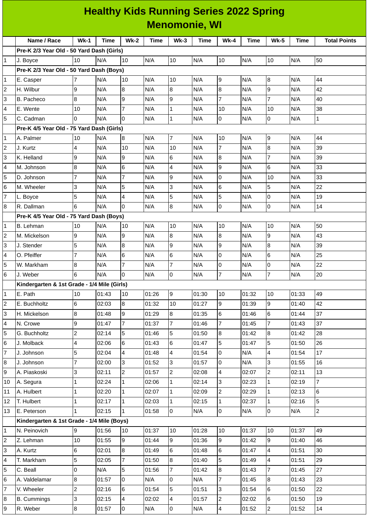| <b>Healthy Kids Running Series 2022 Spring</b> |                                             |                |             |                |             |                |             |                          |             |                |             |                     |
|------------------------------------------------|---------------------------------------------|----------------|-------------|----------------|-------------|----------------|-------------|--------------------------|-------------|----------------|-------------|---------------------|
| <b>Menomonie, WI</b>                           |                                             |                |             |                |             |                |             |                          |             |                |             |                     |
|                                                | Name / Race                                 | $Wk-1$         | <b>Time</b> | <b>Wk-2</b>    | <b>Time</b> | $Wk-3$         | <b>Time</b> | $Wk-4$                   | <b>Time</b> | <b>Wk-5</b>    | <b>Time</b> | <b>Total Points</b> |
|                                                | Pre-K 2/3 Year Old - 50 Yard Dash (Girls)   |                |             |                |             |                |             |                          |             |                |             |                     |
| $\mathbf{1}$                                   | J. Boyce                                    | 10             | N/A         | 10             | N/A         | 10             | N/A         | 10                       | N/A         | 10             | N/A         | 50                  |
|                                                | Pre-K 2/3 Year Old - 50 Yard Dash (Boys)    |                |             |                |             |                |             |                          |             |                |             |                     |
| $\mathbf{1}$                                   | E. Casper                                   |                | N/A         | 10             | N/A         | 10             | N/A         | 9                        | N/A         | 8              | N/A         | 44                  |
| $\overline{c}$                                 | H. Wilbur                                   | 9              | N/A         | 8              | N/A         | 8              | N/A         | 8                        | N/A         | 9              | N/A         | 42                  |
| 3                                              | B. Pacheco                                  | 8              | N/A         | 9              | N/A         | 9              | N/A         | $\overline{7}$           | N/A         | $\overline{7}$ | N/A         | 40                  |
| $\overline{4}$                                 | E. Wente                                    | 10             | N/A         | $\overline{7}$ | N/A         | $\mathbf 1$    | N/A         | 10                       | N/A         | 10             | N/A         | 38                  |
| 5                                              | C. Cadman                                   | <sup>0</sup>   | N/A         | $\Omega$       | N/A         | $\mathbf{1}$   | N/A         | $\overline{0}$           | N/A         | $\Omega$       | N/A         | $\mathbf{1}$        |
|                                                | Pre-K 4/5 Year Old - 75 Yard Dash (Girls)   |                |             |                |             |                |             |                          |             |                |             |                     |
| $\mathbf{1}$                                   | A. Palmer                                   | 10             | N/A         | 8              | N/A         | $\overline{7}$ | N/A         | 10                       | N/A         | 9              | N/A         | 44                  |
| $\overline{c}$                                 | J. Kurtz                                    | $\overline{a}$ | N/A         | 10             | N/A         | 10             | N/A         | $\overline{7}$           | N/A         | 8              | N/A         | 39                  |
| 3                                              | K. Helland                                  | 9              | N/A         | 9              | N/A         | 6              | N/A         | 8                        | N/A         | 7              | N/A         | 39                  |
| 4                                              | M. Johnson                                  | 8              | N/A         | 6              | N/A         | $\overline{4}$ | N/A         | 9                        | N/A         | 6              | N/A         | 33                  |
| 5                                              | D. Johnson                                  | $\overline{7}$ | N/A         | $\overline{7}$ | N/A         | 9              | N/A         | 0                        | N/A         | 10             | N/A         | 33                  |
| 6                                              | M. Wheeler                                  | 3              | N/A         | 5              | N/A         | 3              | N/A         | 6                        | N/A         | 5              | N/A         | 22                  |
| $\overline{7}$                                 | L. Boyce                                    | 5              | N/A         | 4              | N/A         | 5              | N/A         | 5                        | N/A         | 0              | N/A         | 19                  |
| 8                                              | R. Dallman                                  | 6              | N/A         | $\Omega$       | N/A         | $\bf{8}$       | N/A         | 0                        | N/A         | $\overline{0}$ | N/A         | 14                  |
|                                                | Pre-K 4/5 Year Old - 75 Yard Dash (Boys)    |                |             |                |             |                |             |                          |             |                |             |                     |
| 1                                              | B. Lehman                                   | 10             | N/A         | 10             | N/A         | 10             | N/A         | 10                       | N/A         | 10             | N/A         | 50                  |
| $\overline{c}$                                 | M. Mickelson                                | 9              | N/A         | 9              | N/A         | $\bf{8}$       | N/A         | 8                        | N/A         | 9              | N/A         | 43                  |
| 3                                              | J. Stender                                  | 5              | N/A         | 8              | N/A         | 9              | N/A         | 9                        | N/A         | 8              | N/A         | 39                  |
| 4                                              | O. Pfeiffer                                 | $\overline{7}$ | N/A         | 6              | N/A         | 6              | N/A         | 0                        | N/A         | 6              | N/A         | 25                  |
| 5                                              | W. Markham                                  | 8              | N/A         | $\overline{7}$ | N/A         | $\overline{7}$ | N/A         | 0                        | N/A         | $\Omega$       | N/A         | 22                  |
| 6                                              | J. Weber                                    | 6              | N/A         | 0              | N/A         | 0              | N/A         | 7                        | N/A         | 7              | N/A         | 20                  |
|                                                | Kindergarten & 1st Grade - 1/4 Mile (Girls) |                |             |                |             |                |             |                          |             |                |             |                     |
| $\mathbf 1$                                    | E. Path                                     | 10             | 01:43       | 10             | 01:26       | 9              | 01:30       | 10                       | 01:32       | 10             | 01:33       | 49                  |
| $\overline{c}$                                 | E. Buchholtz                                | 6              | 02:03       | 8              | 01:32       | 10             | 01:27       | 9                        | 01:39       | 9              | 01:40       | 42                  |
| 3                                              | H. Mickelson                                | 8              | 01:48       | 9              | 01:29       | 8              | 01:35       | 6                        | 01:46       | 6              | 01:44       | 37                  |
| 4                                              | N. Crowe                                    | 9              | 01:47       | $\overline{7}$ | 01:37       | $\overline{7}$ | 01:46       | $\overline{7}$           | 01:45       | $\overline{7}$ | 01:43       | 37                  |
| 5                                              | G. Buchholtz                                | $\overline{c}$ | 02:14       | 5              | 01:46       | 5              | 01:50       | 8                        | 01:42       | 8              | 01:42       | 28                  |
| 6                                              | J. Molback                                  | $\overline{4}$ | 02:06       | 6              | 01:43       | 6              | 01:47       | 5                        | 01:47       | 5              | 01:50       | 26                  |
| $\overline{7}$                                 | J. Johnson                                  | 5              | 02:04       | $\overline{4}$ | 01:48       | 4              | 01:54       | $\overline{0}$           | N/A         | $\overline{4}$ | 01:54       | 17                  |
| 8                                              | J. Johnson                                  | 7              | 02:00       | 3              | 01:52       | 3              | 01:57       | 0                        | N/A         | 3              | 01:55       | 16                  |
| 9                                              | A. Piaskoski                                | 3              | 02:11       | $\overline{c}$ | 01:57       | $\overline{2}$ | 02:08       | $\overline{4}$           | 02:07       | $\overline{2}$ | 02:11       | 13                  |
| 10                                             | A. Segura                                   | $\mathbf{1}$   | 02:24       | $\mathbf{1}$   | 02:06       | $\mathbf{1}$   | 02:14       | 3                        | 02:23       | $\mathbf{1}$   | 02:19       | $\overline{7}$      |
| 11                                             | A. Hulbert                                  | $\mathbf{1}$   | 02:20       | $\mathbf{1}$   | 02:07       | $\mathbf{1}$   | 02:09       | $\overline{c}$           | 02:29       | $\mathbf{1}$   | 02:13       | 6                   |
| 12                                             | T. Hulbert                                  | $\mathbf{1}$   | 02:17       | $\mathbf{1}$   | 02:03       | $\mathbf{1}$   | 02:15       | $\mathbf{1}$             | 02:37       | $\mathbf 1$    | 02:16       | 5                   |
| 13                                             | E. Peterson                                 | $\mathbf{1}$   | 02:15       | $\mathbf{1}$   | 01:58       | $\overline{0}$ | N/A         | $\mathsf{O}$             | N/A         | $\overline{0}$ | N/A         | $\overline{c}$      |
|                                                | Kindergarten & 1st Grade - 1/4 Mile (Boys)  |                |             |                |             |                |             |                          |             |                |             |                     |
| $\mathbf{1}$                                   | N. Peinovich                                | 9              | 01:56       | 10             | 01:37       | 10             | 01:28       | 10                       | 01:37       | 10             | 01:37       | 49                  |
| $\overline{\mathbf{c}}$                        | Z. Lehman                                   | 10             | 01:55       | 9              | 01:44       | 9              | 01:36       | 9                        | 01:42       | 9              | 01:40       | 46                  |
| 3                                              | A. Kurtz                                    | 6              | 02:01       | 8              | 01:49       | 6              | 01:48       | 6                        | 01:47       | 4              | 01:51       | 30                  |
| 4                                              | T. Markham                                  | 5              | 02:05       | $\overline{7}$ | 01:50       | 8              | 01:40       | 5                        | 01:49       | 4              | 01:51       | 29                  |
| 5                                              | C. Beall                                    | 0              | N/A         | 5              | 01:56       | $\overline{7}$ | 01:42       | 8                        | 01:43       | 7              | 01:45       | 27                  |
| 6                                              | A. Valdelamar                               | $\overline{8}$ | 01:57       | $\overline{0}$ | N/A         | $\overline{0}$ | N/A         | $\overline{7}$           | 01:45       | $\bf{8}$       | 01:43       | 23                  |
| $\overline{7}$                                 | V. Wheeler                                  | $\overline{c}$ | 02:16       | 6              | 01:54       | 5              | 01:51       | 3                        | 01:54       | 6              | 01:50       | 22                  |
| 8                                              | <b>B.</b> Cummings                          | 3              | 02:15       | 4              | 02:02       | 4              | 01:57       | $\overline{c}$           | 02:02       | 6              | 01:50       | 19                  |
| 9                                              | R. Weber                                    | $\bf{8}$       | 01:57       | $\overline{0}$ | N/A         | O              | N/A         | $\overline{\mathcal{A}}$ | 01:52       | $\overline{c}$ | 01:52       | $14\,$              |